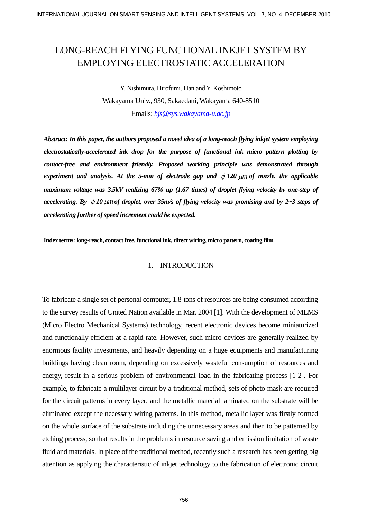# LONG-REACH FLYING FUNCTIONAL INKJET SYSTEM BY EMPLOYING ELECTROSTATIC ACCELERATION

Y. Nishimura, Hirofumi. Han and Y. Koshimoto Wakayama Univ., 930, Sakaedani, Wakayama 640-8510 Emails: *[hjs@sys.wakayama-u.ac.jp](mailto:hjs@sys.wakayama-u.ac.jp)*

*Abstract: In this paper, the authors proposed a novel idea of a long-reach flying inkjet system employing electrostatically-accelerated ink drop for the purpose of functional ink micro pattern plotting by contact-free and environment friendly. Proposed working principle was demonstrated through experiment and analysis. At the 5-mm of electrode gap and* φ *120* <sup>µ</sup>*m of nozzle, the applicable maximum voltage was 3.5kV realizing 67% up (1.67 times) of droplet flying velocity by one-step of accelerating. By* φ *10*µ*mof droplet, over 35m/s of flying velocity was promising and by 2~3 steps of accelerating further of speed increment could be expected.* 

**Index terms: long-reach, contact free, functional ink, direct wiring, micro pattern, coating film.** 

# 1. INTRODUCTION

To fabricate a single set of personal computer, 1.8-tons of resources are being consumed according to the survey results of United Nation available in Mar. 2004 [1]. With the development of MEMS (Micro Electro Mechanical Systems) technology, recent electronic devices become miniaturized and functionally-efficient at a rapid rate. However, such micro devices are generally realized by enormous facility investments, and heavily depending on a huge equipments and manufacturing buildings having clean room, depending on excessively wasteful consumption of resources and energy, result in a serious problem of environmental load in the fabricating process [1-2]. For example, to fabricate a multilayer circuit by a traditional method, sets of photo-mask are required for the circuit patterns in every layer, and the metallic material laminated on the substrate will be eliminated except the necessary wiring patterns. In this method, metallic layer was firstly formed on the whole surface of the substrate including the unnecessary areas and then to be patterned by etching process, so that results in the problems in resource saving and emission limitation of waste fluid and materials. In place of the traditional method, recently such a research has been getting big attention as applying the characteristic of inkjet technology to the fabrication of electronic circuit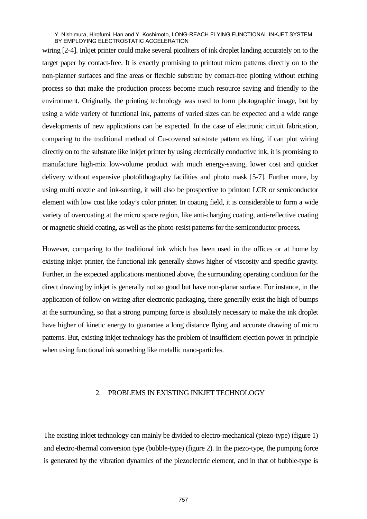wiring [2-4]. Inkjet printer could make several picoliters of ink droplet landing accurately on to the target paper by contact-free. It is exactly promising to printout micro patterns directly on to the non-planner surfaces and fine areas or flexible substrate by contact-free plotting without etching process so that make the production process become much resource saving and friendly to the environment. Originally, the printing technology was used to form photographic image, but by using a wide variety of functional ink, patterns of varied sizes can be expected and a wide range developments of new applications can be expected. In the case of electronic circuit fabrication, comparing to the traditional method of Cu-covered substrate pattern etching, if can plot wiring directly on to the substrate like inkjet printer by using electrically conductive ink, it is promising to manufacture high-mix low-volume product with much energy-saving, lower cost and quicker delivery without expensive photolithography facilities and photo mask [5-7]. Further more, by using multi nozzle and ink-sorting, it will also be prospective to printout LCR or semiconductor element with low cost like today's color printer. In coating field, it is considerable to form a wide variety of overcoating at the micro space region, like anti-charging coating, anti-reflective coating or magnetic shield coating, as well asthe photo-resist patterns for the semiconductor process.

However, comparing to the traditional ink which has been used in the offices or at home by existing inkjet printer, the functional ink generally shows higher of viscosity and specific gravity. Further, in the expected applications mentioned above, the surrounding operating condition for the direct drawing by inkjet is generally not so good but have non-planar surface. For instance, in the application of follow-on wiring after electronic packaging, there generally exist the high of bumps at the surrounding, so that a strong pumping force is absolutely necessary to make the ink droplet have higher of kinetic energy to guarantee a long distance flying and accurate drawing of micro patterns. But, existing inkjet technology has the problem of insufficient ejection power in principle when using functional ink something like metallic nano-particles.

## 2. PROBLEMS IN EXISTING INKJET TECHNOLOGY

The existing inkjet technology can mainly be divided to electro-mechanical (piezo-type) (figure 1) and electro-thermal conversion type (bubble-type) (figure 2). In the piezo-type, the pumping force is generated by the vibration dynamics of the piezoelectric element, and in that of bubble-type is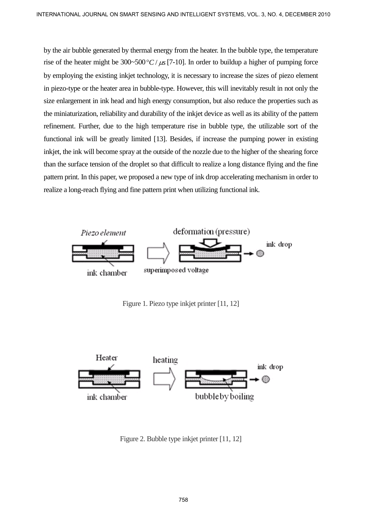by the air bubble generated by thermal energy from the heater. In the bubble type, the temperature rise of the heater might be  $300~500~\textdegree C/\mu s$  [7-10]. In order to buildup a higher of pumping force by employing the existing inkjet technology, it is necessary to increase the sizes of piezo element in piezo-type or the heater area in bubble-type. However, this will inevitably result in not only the size enlargement in ink head and high energy consumption, but also reduce the properties such as the miniaturization, reliability and durability of the inkjet device as well as its ability of the pattern refinement. Further, due to the high temperature rise in bubble type, the utilizable sort of the functional ink will be greatly limited [13]. Besides, if increase the pumping power in existing inkjet, the ink will become spray at the outside of the nozzle due to the higher of the shearing force than the surface tension of the droplet so that difficult to realize a long distance flying and the fine pattern print. In this paper, we proposed a new type of ink drop accelerating mechanism in order to realize a long-reach flying and fine pattern print when utilizing functional ink.



Figure 1. Piezo type inkjet printer [11, 12]



Figure 2. Bubble type inkjet printer [11, 12]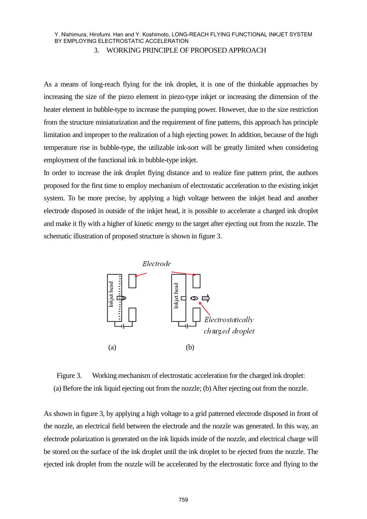## 3. WORKING PRINCIPLE OF PROPOSED APPROACH

As a means of long-reach flying for the ink droplet, it is one of the thinkable approaches by increasing the size of the piezo element in piezo-type inkjet or increasing the dimension of the heater element in bubble-type to increase the pumping power. However, due to the size restriction from the structure miniaturization and the requirement of fine patterns, this approach has principle limitation and improper to the realization of a high ejecting power. In addition, because of the high temperature rise in bubble-type, the utilizable ink-sort will be greatly limited when considering employment of the functional ink in bubble-type inkjet.

In order to increase the ink droplet flying distance and to realize fine pattern print, the authors proposed for the first time to employ mechanism of electrostatic acceleration to the existing inkjet system. To be more precise, by applying a high voltage between the inkjet head and another electrode disposed in outside of the inkjet head, it is possible to accelerate a charged ink droplet and make it fly with a higher of kinetic energy to the target after ejecting out from the nozzle. The schematic illustration of proposed structure is shown in figure 3.



Figure 3. Working mechanism of electrostatic acceleration for the charged ink droplet: (a) Before the ink liquid ejecting out from the nozzle; (b) After ejecting out from the nozzle.

As shown in figure 3, by applying a high voltage to a grid patterned electrode disposed in front of the nozzle, an electrical field between the electrode and the nozzle was generated. In this way, an electrode polarization is generated on the ink liquids inside of the nozzle, and electrical charge will be stored on the surface of the ink droplet until the ink droplet to be ejected from the nozzle. The ejected ink droplet from the nozzle will be accelerated by the electrostatic force and flying to the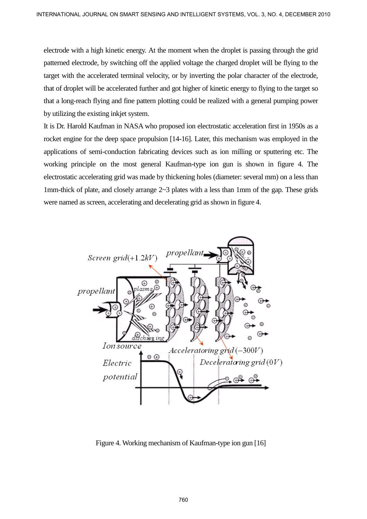electrode with a high kinetic energy. At the moment when the droplet is passing through the grid patterned electrode, by switching off the applied voltage the charged droplet will be flying to the target with the accelerated terminal velocity, or by inverting the polar character of the electrode, that of droplet will be accelerated further and got higher of kinetic energy to flying to the target so that a long-reach flying and fine pattern plotting could be realized with a general pumping power by utilizing the existing inkjet system.

It is Dr. Harold Kaufman in NASA who proposed ion electrostatic acceleration first in 1950s as a rocket engine for the deep space propulsion [14-16]. Later, this mechanism was employed in the applications of semi-conduction fabricating devices such as ion milling or sputtering etc. The working principle on the most general Kaufman-type ion gun is shown in figure 4. The electrostatic accelerating grid was made by thickening holes (diameter: several mm) on a less than 1mm-thick of plate, and closely arrange 2~3 plates with a less than 1mm of the gap. These grids were named as screen, accelerating and decelerating grid as shown in figure 4.



Figure 4. Working mechanism of Kaufman-type ion gun [16]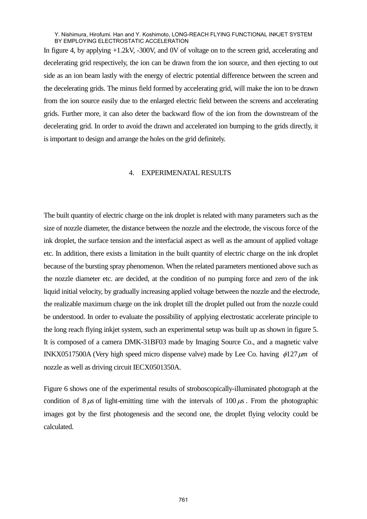In figure 4, by applying +1.2kV, -300V, and 0V of voltage on to the screen grid, accelerating and decelerating grid respectively, the ion can be drawn from the ion source, and then ejecting to out side as an ion beam lastly with the energy of electric potential difference between the screen and the decelerating grids. The minus field formed by accelerating grid, will make the ion to be drawn from the ion source easily due to the enlarged electric field between the screens and accelerating grids. Further more, it can also deter the backward flow of the ion from the downstream of the decelerating grid. In order to avoid the drawn and accelerated ion bumping to the grids directly, it is important to design and arrange the holes on the grid definitely.

#### 4. EXPERIMENATAL RESULTS

The built quantity of electric charge on the ink droplet is related with many parameters such as the size of nozzle diameter, the distance between the nozzle and the electrode, the viscous force of the ink droplet, the surface tension and the interfacial aspect as well as the amount of applied voltage etc. In addition, there exists a limitation in the built quantity of electric charge on the ink droplet because of the bursting spray phenomenon. When the related parameters mentioned above such as the nozzle diameter etc. are decided, at the condition of no pumping force and zero of the ink liquid initial velocity, by gradually increasing applied voltage between the nozzle and the electrode, the realizable maximum charge on the ink droplet till the droplet pulled out from the nozzle could be understood. In order to evaluate the possibility of applying electrostatic accelerate principle to the long reach flying inkjet system, such an experimental setup was built up as shown in figure 5. It is composed of a camera DMK-31BF03 made by Imaging Source Co., and a magnetic valve INKX0517500A (Very high speed micro dispense valve) made by Lee Co. having  $\phi$ 127µm of nozzle as well as driving circuit IECX0501350A.

Figure 6 shows one of the experimental results of stroboscopically-illuminated photograph at the condition of  $8 \mu s$  of light-emitting time with the intervals of  $100 \mu s$ . From the photographic images got by the first photogenesis and the second one, the droplet flying velocity could be calculated.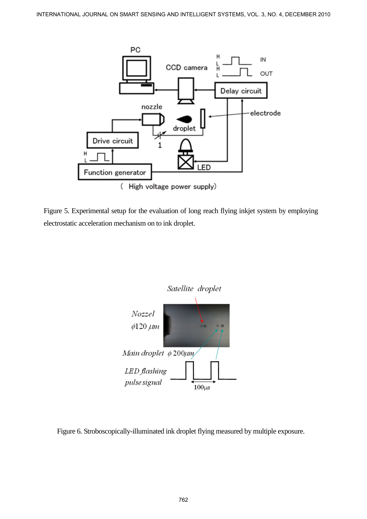

Figure 5. Experimental setup for the evaluation of long reach flying inkjet system by employing electrostatic acceleration mechanism on to ink droplet.



Figure 6. Stroboscopically-illuminated ink droplet flying measured by multiple exposure.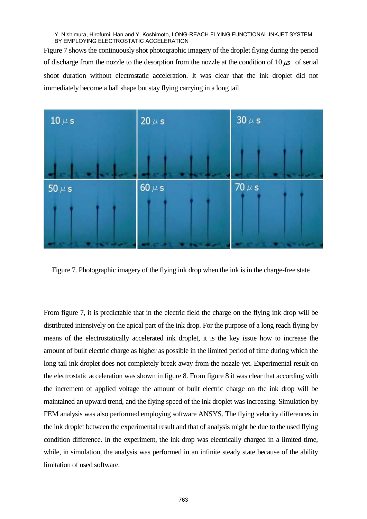Figure 7 shows the continuously shot photographic imagery of the droplet flying during the period of discharge from the nozzle to the desorption from the nozzle at the condition of  $10 \mu s$  of serial shoot duration without electrostatic acceleration. It was clear that the ink droplet did not immediately become a ball shape but stay flying carrying in a long tail.



Figure 7. Photographic imagery of the flying ink drop when the ink is in the charge-free state

From figure 7, it is predictable that in the electric field the charge on the flying ink drop will be distributed intensively on the apical part of the ink drop. For the purpose of a long reach flying by means of the electrostatically accelerated ink droplet, it is the key issue how to increase the amount of built electric charge as higher as possible in the limited period of time during which the long tail ink droplet does not completely break away from the nozzle yet. Experimental result on the electrostatic acceleration was shown in figure 8. From figure 8 it was clear that according with the increment of applied voltage the amount of built electric charge on the ink drop will be maintained an upward trend, and the flying speed of the ink droplet was increasing. Simulation by FEM analysis was also performed employing software ANSYS. The flying velocity differences in the ink droplet between the experimental result and that of analysis might be due to the used flying condition difference. In the experiment, the ink drop was electrically charged in a limited time, while, in simulation, the analysis was performed in an infinite steady state because of the ability limitation of used software.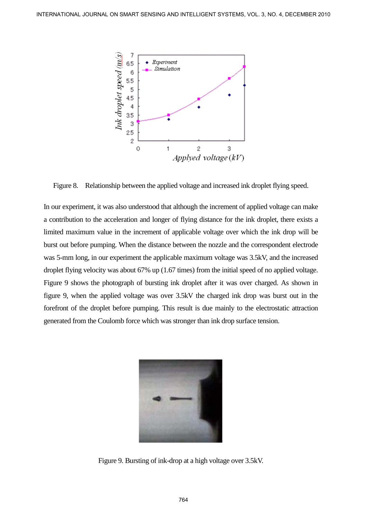

Figure 8. Relationship between the applied voltage and increased ink droplet flying speed.

In our experiment, it was also understood that although the increment of applied voltage can make a contribution to the acceleration and longer of flying distance for the ink droplet, there exists a limited maximum value in the increment of applicable voltage over which the ink drop will be burst out before pumping. When the distance between the nozzle and the correspondent electrode was 5-mm long, in our experiment the applicable maximum voltage was 3.5kV, and the increased droplet flying velocity was about 67% up (1.67 times) from the initial speed of no applied voltage. Figure 9 shows the photograph of bursting ink droplet after it was over charged. As shown in figure 9, when the applied voltage was over 3.5kV the charged ink drop was burst out in the forefront of the droplet before pumping. This result is due mainly to the electrostatic attraction generated from the Coulomb force which was stronger than ink drop surface tension.



Figure 9. Bursting of ink-drop at a high voltage over 3.5kV.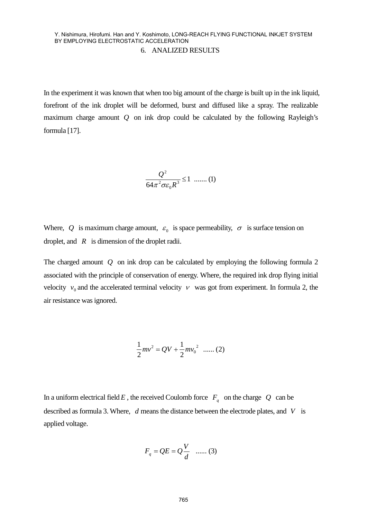In the experiment it was known that when too big amount of the charge is built up in the ink liquid, forefront of the ink droplet will be deformed, burst and diffused like a spray. The realizable maximum charge amount *Q* on ink drop could be calculated by the following Rayleigh's formula [17].

$$
\frac{Q^2}{64\pi^2 \sigma \varepsilon_0 R^3} \le 1 \quad \dots \dots (1)
$$

Where, Q is maximum charge amount,  $\varepsilon_0$  is space permeability,  $\sigma$  is surface tension on droplet, and *R* is dimension of the droplet radii.

The charged amount *Q* on ink drop can be calculated by employing the following formula 2 associated with the principle of conservation of energy. Where, the required ink drop flying initial velocity  $v_0$  and the accelerated terminal velocity  $v_0$  was got from experiment. In formula 2, the air resistance was ignored.

$$
\frac{1}{2}mv^2 = QV + \frac{1}{2}mv_0^2
$$
 ...... (2)

In a uniform electrical field *E*, the received Coulomb force  $F_q$  on the charge *Q* can be described as formula 3. Where, *d* means the distance between the electrode plates, and *V* is applied voltage.

$$
F_q = QE = Q\frac{V}{d} \quad \dots \dots \text{ (3)}
$$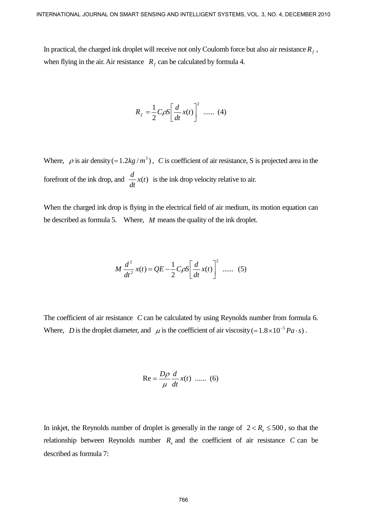In practical, the charged ink droplet will receive not only Coulomb force but also air resistance  $R_f$ , when flying in the air. Air resistance  $R_f$  can be calculated by formula 4.

$$
R_f = \frac{1}{2} C \rho S \left[ \frac{d}{dt} x(t) \right]^2 \dots \dots \tag{4}
$$

Where,  $\rho$  is air density (= 1.2kg /m<sup>3</sup>), C is coefficient of air resistance, S is projected area in the forefront of the ink drop, and  $\frac{d}{dt}x(t)$  is the ink drop velocity relative to air.

When the charged ink drop is flying in the electrical field of air medium, its motion equation can be described as formula 5. Where, *M* means the quality of the ink droplet.

$$
M\frac{d^{2}}{dt^{2}}x(t) = QE - \frac{1}{2}C\rho S \left[\frac{d}{dt}x(t)\right]^{2}
$$
...... (5)

The coefficient of air resistance *C* can be calculated by using Reynolds number from formula 6. Where, *D* is the droplet diameter, and  $\mu$  is the coefficient of air viscosity (= 1.8 × 10<sup>-5</sup> *Pa* ⋅ *s*).

Re = 
$$
\frac{D\rho}{\mu} \frac{d}{dt} x(t)
$$
 ...... (6)

In inkjet, the Reynolds number of droplet is generally in the range of  $2 < R_{e} \le 500$ , so that the relationship between Reynolds number  $R_e$  and the coefficient of air resistance  $C$  can be described as formula 7: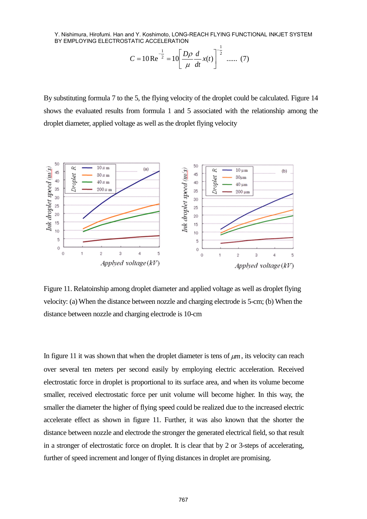$$
C = 10 \text{Re}^{-\frac{1}{2}} = 10 \left[ \frac{D\rho}{\mu} \frac{d}{dt} x(t) \right]^{-\frac{1}{2}} \dots \dots (7)
$$

By substituting formula 7 to the 5, the flying velocity of the droplet could be calculated. Figure 14 shows the evaluated results from formula 1 and 5 associated with the relationship among the droplet diameter, applied voltage as well as the droplet flying velocity



Figure 11. Relatoinship among droplet diameter and applied voltage as well as droplet flying velocity: (a) When the distance between nozzle and charging electrode is 5-cm; (b) When the distance between nozzle and charging electrode is 10-cm

In figure 11 it was shown that when the droplet diameter is tens of  $\mu$ *m*, its velocity can reach over several ten meters per second easily by employing electric acceleration. Received electrostatic force in droplet is proportional to its surface area, and when its volume become smaller, received electrostatic force per unit volume will become higher. In this way, the smaller the diameter the higher of flying speed could be realized due to the increased electric accelerate effect as shown in figure 11. Further, it was also known that the shorter the distance between nozzle and electrode the stronger the generated electrical field, so that result in a stronger of electrostatic force on droplet. It is clear that by 2 or 3-steps of accelerating, further of speed increment and longer of flying distances in droplet are promising.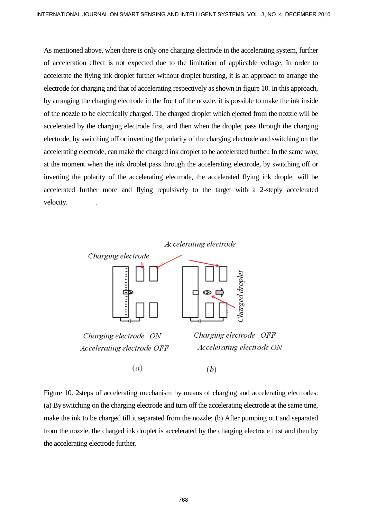As mentioned above, when there is only one charging electrode in the accelerating system, further of acceleration effect is not expected due to the limitation of applicable voltage. In order to accelerate the flying ink droplet further without droplet bursting, it is an approach to arrange the electrode for charging and that of accelerating respectively as shown in figure 10. In this approach, by arranging the charging electrode in the front of the nozzle, it is possible to make the ink inside of the nozzle to be electrically charged. The charged droplet which ejected from the nozzle will be accelerated by the charging electrode first, and then when the droplet pass through the charging electrode, by switching off or inverting the polarity of the charging electrode and switching on the accelerating electrode, can make the charged ink droplet to be accelerated further. In the same way, at the moment when the ink droplet pass through the accelerating electrode, by switching off or inverting the polarity of the accelerating electrode, the accelerated flying ink droplet will be accelerated further more and flying repulsively to the target with a 2-steply accelerated velocity.



Figure 10. 2steps of accelerating mechanism by means of charging and accelerating electrodes: (a) By switching on the charging electrode and turn off the accelerating electrode at the same time, make the ink to be charged till it separated from the nozzle; (b) After pumping out and separated from the nozzle, the charged ink droplet is accelerated by the charging electrode first and then by the accelerating electrode further.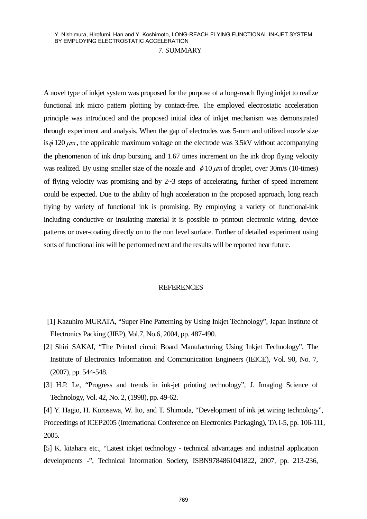A novel type of inkjet system was proposed for the purpose of a long-reach flying inkjet to realize functional ink micro pattern plotting by contact-free. The employed electrostatic acceleration principle was introduced and the proposed initial idea of inkjet mechanism was demonstrated through experiment and analysis. When the gap of electrodes was 5-mm and utilized nozzle size is  $\phi$  120  $\mu$ m, the applicable maximum voltage on the electrode was 3.5kV without accompanying the phenomenon of ink drop bursting, and 1.67 times increment on the ink drop flying velocity was realized. By using smaller size of the nozzle and  $\phi$  10  $\mu$ m of droplet, over 30m/s (10-times) of flying velocity was promising and by  $2\nu$ -3 steps of accelerating, further of speed increment could be expected. Due to the ability of high acceleration in the proposed approach, long reach flying by variety of functional ink is promising. By employing a variety of functional-ink including conductive or insulating material it is possible to printout electronic wiring, device patterns or over-coating directly on to the non level surface. Further of detailed experiment using sorts of functional ink will be performed next and the results will be reported near future.

#### **REFERENCES**

- [1] Kazuhiro MURATA, "Super Fine Patterning by Using Inkjet Technology", Japan Institute of Electronics Packing (JIEP), Vol.7, No.6, 2004, pp. 487-490.
- [2] Shiri SAKAI, "The Printed circuit Board Manufacturing Using Inkjet Technology", The Institute of Electronics Information and Communication Engineers (IEICE), Vol. 90, No. 7, (2007), pp. 544-548.
- [3] H.P. Le, "Progress and trends in ink-jet printing technology", J. Imaging Science of Technology, Vol. 42, No. 2, (1998), pp. 49-62.

[4] Y. Hagio, H. Kurosawa, W. Ito, and T. Shimoda, "Development of ink jet wiring technology", Proceedings of ICEP2005 (International Conference on Electronics Packaging), TA I-5, pp. 106-111, 2005.

[5] K. kitahara etc., "Latest inkjet technology - technical advantages and industrial application developments -", Technical Information Society, ISBN9784861041822, 2007, pp. 213-236,